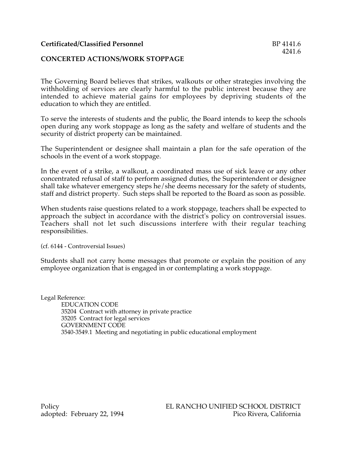## **CONCERTED ACTIONS/WORK STOPPAGE**

The Governing Board believes that strikes, walkouts or other strategies involving the withholding of services are clearly harmful to the public interest because they are intended to achieve material gains for employees by depriving students of the education to which they are entitled.

To serve the interests of students and the public, the Board intends to keep the schools open during any work stoppage as long as the safety and welfare of students and the security of district property can be maintained.

The Superintendent or designee shall maintain a plan for the safe operation of the schools in the event of a work stoppage.

In the event of a strike, a walkout, a coordinated mass use of sick leave or any other concentrated refusal of staff to perform assigned duties, the Superintendent or designee shall take whatever emergency steps he/she deems necessary for the safety of students, staff and district property. Such steps shall be reported to the Board as soon as possible.

When students raise questions related to a work stoppage, teachers shall be expected to approach the subject in accordance with the district's policy on controversial issues. Teachers shall not let such discussions interfere with their regular teaching responsibilities.

(cf. 6144 - Controversial Issues)

Students shall not carry home messages that promote or explain the position of any employee organization that is engaged in or contemplating a work stoppage.

Legal Reference: EDUCATION CODE 35204 Contract with attorney in private practice 35205 Contract for legal services GOVERNMENT CODE 3540-3549.1 Meeting and negotiating in public educational employment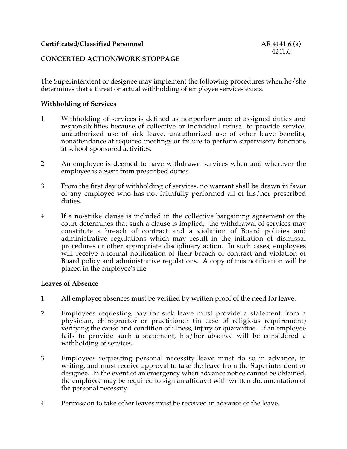# **CONCERTED ACTION/WORK STOPPAGE**

The Superintendent or designee may implement the following procedures when he/she determines that a threat or actual withholding of employee services exists.

#### **Withholding of Services**

- 1. Withholding of services is defined as nonperformance of assigned duties and responsibilities because of collective or individual refusal to provide service, unauthorized use of sick leave, unauthorized use of other leave benefits, nonattendance at required meetings or failure to perform supervisory functions at school-sponsored activities.
- 2. An employee is deemed to have withdrawn services when and wherever the employee is absent from prescribed duties.
- 3. From the first day of withholding of services, no warrant shall be drawn in favor of any employee who has not faithfully performed all of his/her prescribed duties.
- 4. If a no-strike clause is included in the collective bargaining agreement or the court determines that such a clause is implied, the withdrawal of services may constitute a breach of contract and a violation of Board policies and administrative regulations which may result in the initiation of dismissal procedures or other appropriate disciplinary action. In such cases, employees will receive a formal notification of their breach of contract and violation of Board policy and administrative regulations. A copy of this notification will be placed in the employee's file.

#### **Leaves of Absence**

- 1. All employee absences must be verified by written proof of the need for leave.
- 2. Employees requesting pay for sick leave must provide a statement from a physician, chiropractor or practitioner (in case of religious requirement) verifying the cause and condition of illness, injury or quarantine. If an employee fails to provide such a statement, his/her absence will be considered a withholding of services.
- 3. Employees requesting personal necessity leave must do so in advance, in writing, and must receive approval to take the leave from the Superintendent or designee. In the event of an emergency when advance notice cannot be obtained, the employee may be required to sign an affidavit with written documentation of the personal necessity.
- 4. Permission to take other leaves must be received in advance of the leave.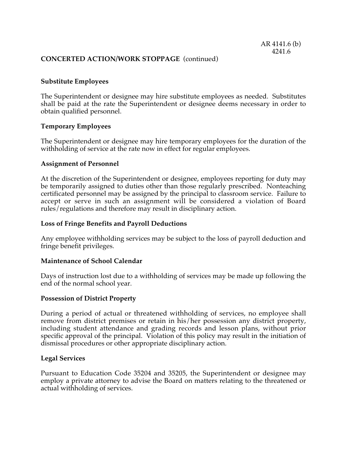## **CONCERTED ACTION/WORK STOPPAGE** (continued)

## **Substitute Employees**

The Superintendent or designee may hire substitute employees as needed. Substitutes shall be paid at the rate the Superintendent or designee deems necessary in order to obtain qualified personnel.

#### **Temporary Employees**

The Superintendent or designee may hire temporary employees for the duration of the withholding of service at the rate now in effect for regular employees.

#### **Assignment of Personnel**

At the discretion of the Superintendent or designee, employees reporting for duty may be temporarily assigned to duties other than those regularly prescribed. Nonteaching certificated personnel may be assigned by the principal to classroom service. Failure to accept or serve in such an assignment will be considered a violation of Board rules/regulations and therefore may result in disciplinary action.

#### **Loss of Fringe Benefits and Payroll Deductions**

Any employee withholding services may be subject to the loss of payroll deduction and fringe benefit privileges.

#### **Maintenance of School Calendar**

Days of instruction lost due to a withholding of services may be made up following the end of the normal school year.

#### **Possession of District Property**

During a period of actual or threatened withholding of services, no employee shall remove from district premises or retain in his/her possession any district property, including student attendance and grading records and lesson plans, without prior specific approval of the principal. Violation of this policy may result in the initiation of dismissal procedures or other appropriate disciplinary action.

#### **Legal Services**

Pursuant to Education Code 35204 and 35205, the Superintendent or designee may employ a private attorney to advise the Board on matters relating to the threatened or actual withholding of services.